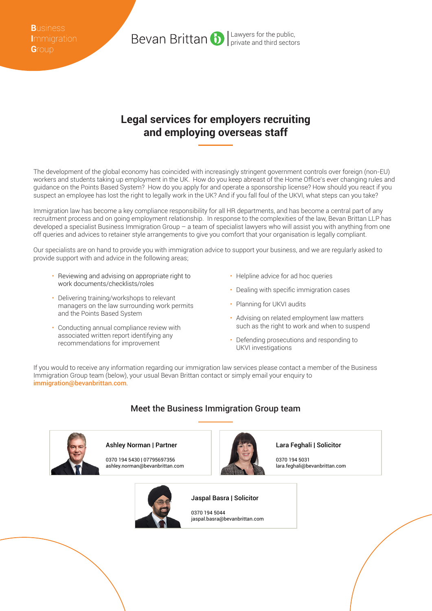**B**usiness **I**mmigration **G**roup

## **Legal services for employers recruiting and employing overseas staff**

Bevan Brittan b

The development of the global economy has coincided with increasingly stringent government controls over foreign (non-EU) workers and students taking up employment in the UK. How do you keep abreast of the Home Office's ever changing rules and guidance on the Points Based System? How do you apply for and operate a sponsorship license? How should you react if you suspect an employee has lost the right to legally work in the UK? And if you fall foul of the UKVI, what steps can you take?

Immigration law has become a key compliance responsibility for all HR departments, and has become a central part of any recruitment process and on going employment relationship. In response to the complexities of the law, Bevan Brittan LLP has developed a specialist Business Immigration Group – a team of specialist lawyers who will assist you with anything from one off queries and advices to retainer style arrangements to give you comfort that your organisation is legally compliant.

Our specialists are on hand to provide you with immigration advice to support your business, and we are regularly asked to provide support with and advice in the following areas;

- Reviewing and advising on appropriate right to work documents/checklists/roles
- Delivering training/workshops to relevant managers on the law surrounding work permits and the Points Based System
- Conducting annual compliance review with associated written report identifying any recommendations for improvement
- Helpline advice for ad hoc queries
- Dealing with specific immigration cases
- Planning for UKVI audits

Lawyers for the public, private and third sectors

- Advising on related employment law matters such as the right to work and when to suspend
- Defending prosecutions and responding to UKVI investigations

If you would to receive any information regarding our immigration law services please contact a member of the Business Immigration Group team (below), your usual Bevan Brittan contact or simply email your enquiry to immigration@bevanbrittan.com.

## Meet the Business Immigration Group team



Ashley Norman | Partner

0370 194 5430 | 07795697356 ashley.norman@bevanbrittan.com



## Jaspal Basra | Solicitor

0370 194 5044 jaspal.basra@bevanbrittan.com Lara Feghali | Solicitor

0370 194 5031 lara.feghali@bevanbrittan.com